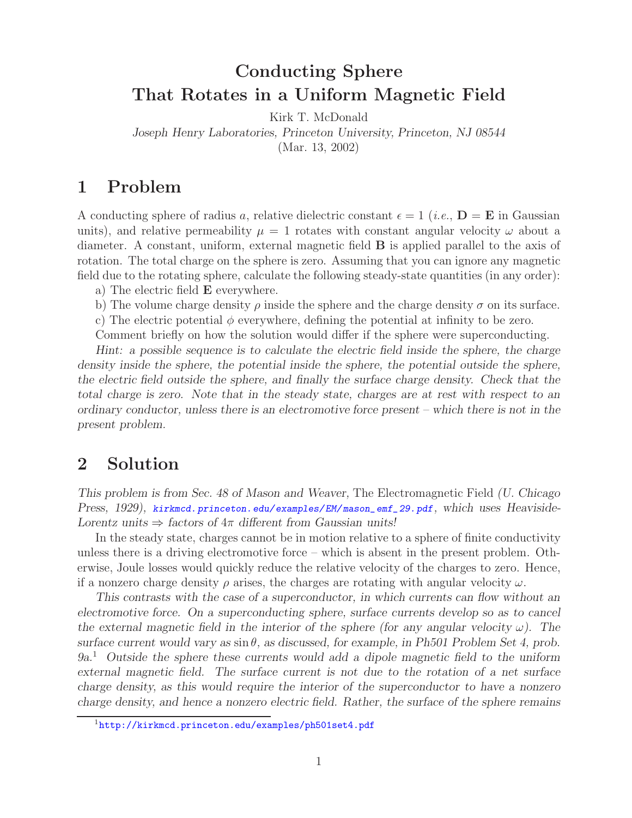## **Conducting Sphere That Rotates in a Uniform Magnetic Field**

Kirk T. McDonald

*Joseph Henry Laboratories, Princeton University, Princeton, NJ 08544*

(Mar. 13, 2002)

## **1 Problem**

A conducting sphere of radius a, relative dielectric constant  $\epsilon = 1$  (*i.e.*,  $\mathbf{D} = \mathbf{E}$  in Gaussian units), and relative permeability  $\mu = 1$  rotates with constant angular velocity  $\omega$  about a diameter. A constant, uniform, external magnetic field **B** is applied parallel to the axis of rotation. The total charge on the sphere is zero. Assuming that you can ignore any magnetic field due to the rotating sphere, calculate the following steady-state quantities (in any order):

a) The electric field **E** everywhere.

b) The volume charge density  $\rho$  inside the sphere and the charge density  $\sigma$  on its surface.

c) The electric potential  $\phi$  everywhere, defining the potential at infinity to be zero.

Comment briefly on how the solution would differ if the sphere were superconducting.

*Hint: a possible sequence is to calculate the electric field inside the sphere, the charge density inside the sphere, the potential inside the sphere, the potential outside the sphere, the electric field outside the sphere, and finally the surface charge density. Check that the total charge is zero. Note that in the steady state, charges are at rest with respect to an ordinary conductor, unless there is an electromotive force present – which there is not in the present problem.*

## **2 Solution**

*This problem is from Sec. 48 of Mason and Weaver,* The Electromagnetic Field *(U. Chicago Press, 1929), kirkmcd. princeton.edu/examples/EM/ mason\_emf\_29.pdf, which uses Heaviside-Lorentz units*  $\Rightarrow$  *factors of*  $4\pi$  *different from Gaussian units!* 

In the steady state, charges cannot be in motion relative to a sphere of finite conductivity unless there is a driving electromotive force – which is absent in the present problem. Otherwise, Joule losses would quickly reduce the relative velocity of the charges to zero. Hence, if a nonzero charge density  $\rho$  arises, the charges are rotating with angular velocity  $\omega$ .

*This contrasts with the case of a superconductor, in which currents can flow without an electromotive force. On a superconducting sphere, surface currents develop so as to cancel the external magnetic field in the interior of the sphere (for any angular velocity*  $\omega$ ). The *surface current would vary as*  $\sin \theta$ *, as discussed, for example, in Ph501 Problem Set 4, prob. 9a.*<sup>1</sup> *Outside the sphere these currents would add a dipole magnetic field to the uniform external magnetic field. The surface current is not due to the rotation of a net surface charge density, as this would require the interior of the superconductor to have a nonzero charge density, and hence a nonzero electric field. Rather, the surface of the sphere remains*

<sup>&</sup>lt;sup>1</sup>http://kirkmcd.princeton.edu/examples/ph501set4.pdf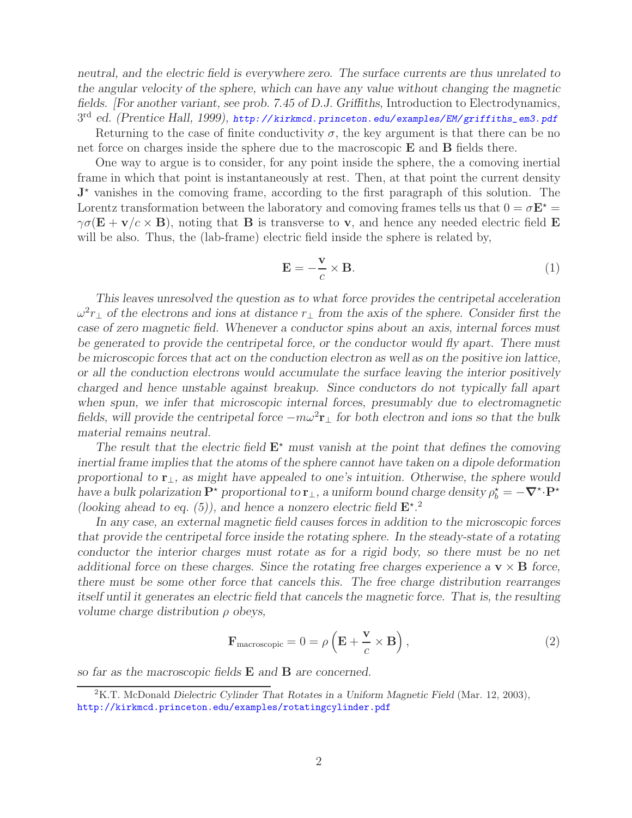*neutral, and the electric field is everywhere zero. The surface currents are thus unrelated to the angular velocity of the sphere, which can have any value without changing the magnetic fields. [For another variant, see prob. 7.45 of D.J. Griffiths,* Introduction to Electrodynamics*,* 3rd *ed. (Prentice Hall, 1999), http: // kirkmcd. princeton.edu/examples/EM/ griffiths\_em3.pdf*

Returning to the case of finite conductivity  $\sigma$ , the key argument is that there can be no net force on charges inside the sphere due to the macroscopic **E** and **B** fields there.

One way to argue is to consider, for any point inside the sphere, the a comoving inertial frame in which that point is instantaneously at rest. Then, at that point the current density  $J^*$  vanishes in the comoving frame, according to the first paragraph of this solution. The Lorentz transformation between the laboratory and comoving frames tells us that  $0 = \sigma \mathbf{E}^* =$  $\gamma \sigma (\mathbf{E} + \mathbf{v}/c \times \mathbf{B})$ , noting that **B** is transverse to **v**, and hence any needed electric field **E** will be also. Thus, the (lab-frame) electric field inside the sphere is related by,

$$
\mathbf{E} = -\frac{\mathbf{v}}{c} \times \mathbf{B}.\tag{1}
$$

*This leaves unresolved the question as to what force provides the centripetal acceleration* <sup>ω</sup><sup>2</sup>r<sup>⊥</sup> *of the electrons and ions at distance* <sup>r</sup><sup>⊥</sup> *from the axis of the sphere. Consider first the case of zero magnetic field. Whenever a conductor spins about an axis, internal forces must be generated to provide the centripetal force, or the conductor would fly apart. There must be microscopic forces that act on the conduction electron as well as on the positive ion lattice, or all the conduction electrons would accumulate the surface leaving the interior positively charged and hence unstable against breakup. Since conductors do not typically fall apart* when spun, we infer that microscopic internal forces, presumably due to electromagnetic *fields, will provide the centripetal force*  $-m\omega^2\mathbf{r}_\perp$  *for both electron and ions so that the bulk material remains neutral.*

The result that the electric field  $\mathbf{E}^*$  must vanish at the point that defines the comoving *inertial frame implies that the atoms of the sphere cannot have taken on a dipole deformation proportional to* **r**⊥*, as might have appealed to one's intuition. Otherwise, the sphere would have a bulk polarization*  $\mathbf{P}^*$  proportional to  $\mathbf{r}_\perp$ , a uniform bound charge density  $\rho_b^* = -\nabla^* \cdot \mathbf{P}^*$ (looking ahead to eq. (5)), and hence a nonzero electric field  $\mathbf{E}^{\star}$ .<sup>2</sup>

*In any case, an external magnetic field causes forces in addition to the microscopic forces that provide the centripetal force inside the rotating sphere. In the steady-state of a rotating conductor the interior charges must rotate as for a rigid body, so there must be no net additional force on these charges. Since the rotating free charges experience a* **v** × **B** *force, there must be some other force that cancels this. The free charge distribution rearranges itself until it generates an electric field that cancels the magnetic force. That is, the resulting volume charge distribution* ρ *obeys,*

$$
\mathbf{F}_{\text{macroscopic}} = 0 = \rho \left( \mathbf{E} + \frac{\mathbf{v}}{c} \times \mathbf{B} \right),\tag{2}
$$

*so far as the macroscopic fields* **E** *and* **B** *are concerned.*

<sup>2</sup>K.T. McDonald *Dielectric Cylinder That Rotates in a Uniform Magnetic Field* (Mar. 12, 2003), http://kirkmcd.princeton.edu/examples/rotatingcylinder.pdf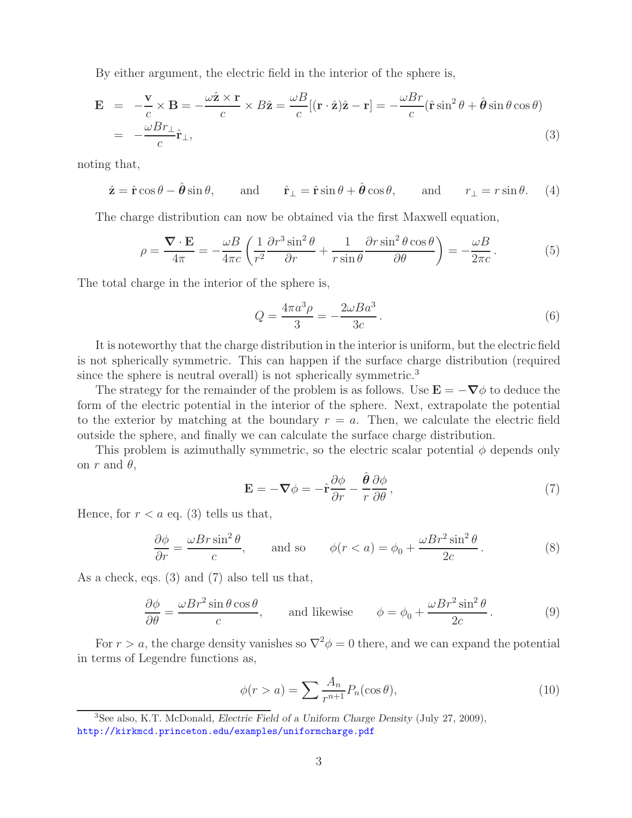By either argument, the electric field in the interior of the sphere is,

$$
\mathbf{E} = -\frac{\mathbf{v}}{c} \times \mathbf{B} = -\frac{\omega \hat{\mathbf{z}} \times \mathbf{r}}{c} \times B\hat{\mathbf{z}} = \frac{\omega B}{c} [(\mathbf{r} \cdot \hat{\mathbf{z}})\hat{\mathbf{z}} - \mathbf{r}] = -\frac{\omega Br}{c} (\hat{\mathbf{r}} \sin^2 \theta + \hat{\boldsymbol{\theta}} \sin \theta \cos \theta)
$$
  
= -\frac{\omega Br\_{\perp}}{c} \hat{\mathbf{r}}\_{\perp}, (3)

noting that,

$$
\hat{\mathbf{z}} = \hat{\mathbf{r}} \cos \theta - \hat{\boldsymbol{\theta}} \sin \theta
$$
, and  $\hat{\mathbf{r}}_{\perp} = \hat{\mathbf{r}} \sin \theta + \hat{\boldsymbol{\theta}} \cos \theta$ , and  $r_{\perp} = r \sin \theta$ . (4)

The charge distribution can now be obtained via the first Maxwell equation,

$$
\rho = \frac{\nabla \cdot \mathbf{E}}{4\pi} = -\frac{\omega B}{4\pi c} \left( \frac{1}{r^2} \frac{\partial r^3 \sin^2 \theta}{\partial r} + \frac{1}{r \sin \theta} \frac{\partial r \sin^2 \theta \cos \theta}{\partial \theta} \right) = -\frac{\omega B}{2\pi c}.
$$
(5)

The total charge in the interior of the sphere is,

$$
Q = \frac{4\pi a^3 \rho}{3} = -\frac{2\omega B a^3}{3c}.
$$
\n(6)

It is noteworthy that the charge distribution in the interior is uniform, but the electric field is not spherically symmetric. This can happen if the surface charge distribution (required since the sphere is neutral overall) is not spherically symmetric.<sup>3</sup>

The strategy for the remainder of the problem is as follows. Use  $\mathbf{E} = -\nabla\phi$  to deduce the form of the electric potential in the interior of the sphere. Next, extrapolate the potential to the exterior by matching at the boundary  $r = a$ . Then, we calculate the electric field outside the sphere, and finally we can calculate the surface charge distribution.

This problem is azimuthally symmetric, so the electric scalar potential  $\phi$  depends only on r and  $\theta$ ,

$$
\mathbf{E} = -\nabla \phi = -\hat{\mathbf{r}} \frac{\partial \phi}{\partial r} - \frac{\hat{\boldsymbol{\theta}}}{r} \frac{\partial \phi}{\partial \theta},\qquad(7)
$$

Hence, for  $r < a$  eq. (3) tells us that,

$$
\frac{\partial \phi}{\partial r} = \frac{\omega Br \sin^2 \theta}{c}, \quad \text{and so} \quad \phi(r < a) = \phi_0 + \frac{\omega Br^2 \sin^2 \theta}{2c}.
$$
\n<sup>(8)</sup>

As a check, eqs. (3) and (7) also tell us that,

$$
\frac{\partial \phi}{\partial \theta} = \frac{\omega Br^2 \sin \theta \cos \theta}{c}, \quad \text{and likewise} \quad \phi = \phi_0 + \frac{\omega Br^2 \sin^2 \theta}{2c}.
$$
 (9)

For  $r > a$ , the charge density vanishes so  $\nabla^2 \phi = 0$  there, and we can expand the potential in terms of Legendre functions as,

$$
\phi(r > a) = \sum \frac{A_n}{r^{n+1}} P_n(\cos \theta),\tag{10}
$$

<sup>3</sup>See also, K.T. McDonald, *Electric Field of a Uniform Charge Density* (July 27, 2009), http://kirkmcd.princeton.edu/examples/uniformcharge.pdf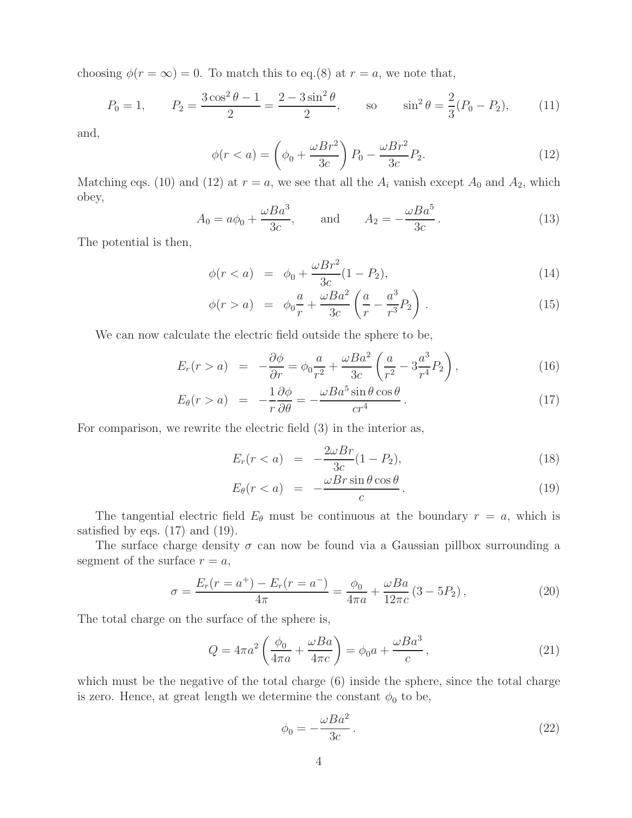choosing  $\phi(r = \infty) = 0$ . To match this to eq.(8) at  $r = a$ , we note that,

$$
P_0 = 1,
$$
  $P_2 = \frac{3\cos^2\theta - 1}{2} = \frac{2 - 3\sin^2\theta}{2},$  so  $\sin^2\theta = \frac{2}{3}(P_0 - P_2),$  (11)

and,

$$
\phi(r < a) = \left(\phi_0 + \frac{\omega Br^2}{3c}\right) P_0 - \frac{\omega Br^2}{3c} P_2. \tag{12}
$$

Matching eqs. (10) and (12) at  $r = a$ , we see that all the  $A_i$  vanish except  $A_0$  and  $A_2$ , which obey,

$$
A_0 = a\phi_0 + \frac{\omega Ba^3}{3c}, \quad \text{and} \quad A_2 = -\frac{\omega Ba^5}{3c}.
$$
 (13)

The potential is then,

$$
\phi(r < a) = \phi_0 + \frac{\omega Br^2}{3c} (1 - P_2),\tag{14}
$$

$$
\phi(r > a) = \phi_0 \frac{a}{r} + \frac{\omega B a^2}{3c} \left( \frac{a}{r} - \frac{a^3}{r^3} P_2 \right).
$$
 (15)

We can now calculate the electric field outside the sphere to be,

$$
E_r(r > a) = -\frac{\partial \phi}{\partial r} = \phi_0 \frac{a}{r^2} + \frac{\omega B a^2}{3c} \left( \frac{a}{r^2} - 3 \frac{a^3}{r^4} P_2 \right),
$$
 (16)

$$
E_{\theta}(r > a) = -\frac{1}{r}\frac{\partial \phi}{\partial \theta} = -\frac{\omega Ba^5 \sin \theta \cos \theta}{cr^4}.
$$
 (17)

For comparison, we rewrite the electric field (3) in the interior as,

$$
E_r(r < a) = -\frac{2\omega Br}{3c}(1 - P_2),\tag{18}
$$

$$
E_{\theta}(r < a) = -\frac{\omega Br \sin \theta \cos \theta}{c} \,. \tag{19}
$$

The tangential electric field  $E_{\theta}$  must be continuous at the boundary  $r = a$ , which is satisfied by eqs.  $(17)$  and  $(19)$ .

The surface charge density  $\sigma$  can now be found via a Gaussian pillbox surrounding a segment of the surface  $r = a$ ,

$$
\sigma = \frac{E_r(r = a^+) - E_r(r = a^-)}{4\pi} = \frac{\phi_0}{4\pi a} + \frac{\omega Ba}{12\pi c} (3 - 5P_2),\tag{20}
$$

The total charge on the surface of the sphere is,

$$
Q = 4\pi a^2 \left(\frac{\phi_0}{4\pi a} + \frac{\omega Ba}{4\pi c}\right) = \phi_0 a + \frac{\omega Ba^3}{c},\qquad(21)
$$

which must be the negative of the total charge  $(6)$  inside the sphere, since the total charge is zero. Hence, at great length we determine the constant  $\phi_0$  to be,

$$
\phi_0 = -\frac{\omega Ba^2}{3c} \,. \tag{22}
$$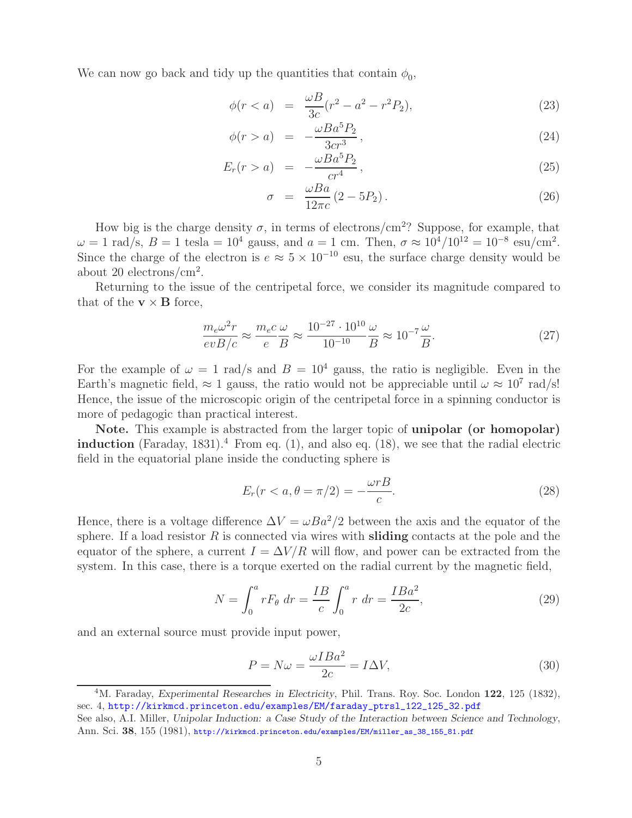We can now go back and tidy up the quantities that contain  $\phi_0$ ,

$$
\phi(r < a) = \frac{\omega B}{3c}(r^2 - a^2 - r^2 P_2),\tag{23}
$$

$$
\phi(r > a) = -\frac{\omega Ba^5 P_2}{3cr^3},\tag{24}
$$

$$
E_r(r > a) = -\frac{\omega Ba^5 P_2}{cr^4}, \qquad (25)
$$

$$
\sigma = \frac{\omega Ba}{12\pi c} (2 - 5P_2). \tag{26}
$$

How big is the charge density  $\sigma$ , in terms of electrons/cm<sup>2</sup>? Suppose, for example, that  $\omega = 1$  rad/s,  $B = 1$  tesla = 10<sup>4</sup> gauss, and  $a = 1$  cm. Then,  $\sigma \approx 10^4/10^{12} = 10^{-8}$  esu/cm<sup>2</sup>. Since the charge of the electron is  $e \approx 5 \times 10^{-10}$  esu, the surface charge density would be about 20 electrons/cm<sup>2</sup>.

Returning to the issue of the centripetal force, we consider its magnitude compared to that of the  $\mathbf{v} \times \mathbf{B}$  force,

$$
\frac{m_e \omega^2 r}{evB/c} \approx \frac{m_e c}{e} \frac{\omega}{B} \approx \frac{10^{-27} \cdot 10^{10}}{10^{-10}} \frac{\omega}{B} \approx 10^{-7} \frac{\omega}{B}.
$$
\n
$$
(27)
$$

For the example of  $\omega = 1$  rad/s and  $B = 10^4$  gauss, the ratio is negligible. Even in the Earth's magnetic field,  $\approx 1$  gauss, the ratio would not be appreciable until  $\omega \approx 10^7$  rad/s! Hence, the issue of the microscopic origin of the centripetal force in a spinning conductor is more of pedagogic than practical interest.

**Note.** This example is abstracted from the larger topic of **unipolar (or homopolar) induction** (Faraday, 1831).<sup>4</sup> From eq.  $(1)$ , and also eq.  $(18)$ , we see that the radial electric field in the equatorial plane inside the conducting sphere is

$$
E_r(r < a, \theta = \pi/2) = -\frac{\omega r}{c}.\tag{28}
$$

Hence, there is a voltage difference  $\Delta V = \omega Ba^2/2$  between the axis and the equator of the sphere. If a load resistor R is connected via wires with **sliding** contacts at the pole and the equator of the sphere, a current  $I = \Delta V/R$  will flow, and power can be extracted from the system. In this case, there is a torque exerted on the radial current by the magnetic field,

$$
N = \int_0^a r F_\theta \, dr = \frac{IB}{c} \int_0^a r \, dr = \frac{IBa^2}{2c},\tag{29}
$$

and an external source must provide input power,

$$
P = N\omega = \frac{\omega I Ba^2}{2c} = I\Delta V,\tag{30}
$$

<sup>4</sup>M. Faraday, *Experimental Researches in Electricity*, Phil. Trans. Roy. Soc. London **122**, 125 (1832), sec. 4, http://kirkmcd.princeton.edu/examples/EM/faraday\_ptrsl\_122\_125\_32.pdf

See also, A.I. Miller, *Unipolar Induction: a Case Study of the Interaction between Science and Technology*, Ann. Sci. **38**, 155 (1981), http://kirkmcd.princeton.edu/examples/EM/miller\_as\_38\_155\_81.pdf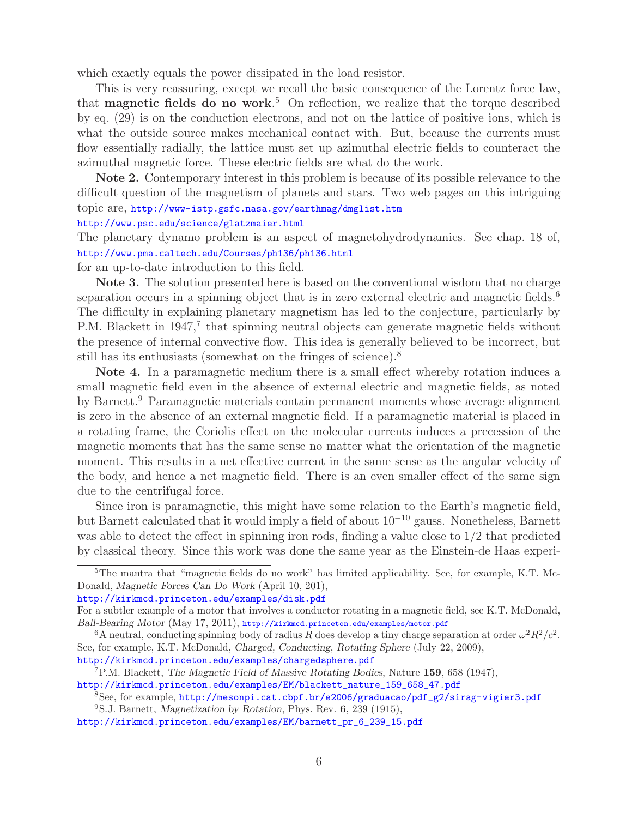which exactly equals the power dissipated in the load resistor.

This is very reassuring, except we recall the basic consequence of the Lorentz force law, that **magnetic fields do no work**. <sup>5</sup> On reflection, we realize that the torque described by eq. (29) is on the conduction electrons, and not on the lattice of positive ions, which is what the outside source makes mechanical contact with. But, because the currents must flow essentially radially, the lattice must set up azimuthal electric fields to counteract the azimuthal magnetic force. These electric fields are what do the work.

**Note 2.** Contemporary interest in this problem is because of its possible relevance to the difficult question of the magnetism of planets and stars. Two web pages on this intriguing topic are, http://www-istp.gsfc.nasa.gov/earthmag/dmglist.htm

## http://www.psc.edu/science/glatzmaier.html

The planetary dynamo problem is an aspect of magnetohydrodynamics. See chap. 18 of, http://www.pma.caltech.edu/Courses/ph136/ph136.html

for an up-to-date introduction to this field.

**Note 3.** The solution presented here is based on the conventional wisdom that no charge separation occurs in a spinning object that is in zero external electric and magnetic fields.<sup>6</sup> The difficulty in explaining planetary magnetism has led to the conjecture, particularly by P.M. Blackett in 1947,<sup>7</sup> that spinning neutral objects can generate magnetic fields without the presence of internal convective flow. This idea is generally believed to be incorrect, but still has its enthusiasts (somewhat on the fringes of science).<sup>8</sup>

**Note 4.** In a paramagnetic medium there is a small effect whereby rotation induces a small magnetic field even in the absence of external electric and magnetic fields, as noted by Barnett.<sup>9</sup> Paramagnetic materials contain permanent moments whose average alignment is zero in the absence of an external magnetic field. If a paramagnetic material is placed in a rotating frame, the Coriolis effect on the molecular currents induces a precession of the magnetic moments that has the same sense no matter what the orientation of the magnetic moment. This results in a net effective current in the same sense as the angular velocity of the body, and hence a net magnetic field. There is an even smaller effect of the same sign due to the centrifugal force.

Since iron is paramagnetic, this might have some relation to the Earth's magnetic field, but Barnett calculated that it would imply a field of about 10−<sup>10</sup> gauss. Nonetheless, Barnett was able to detect the effect in spinning iron rods, finding a value close to  $1/2$  that predicted by classical theory. Since this work was done the same year as the Einstein-de Haas experi-

http://kirkmcd.princeton.edu/examples/disk.pdf

http://kirkmcd.princeton.edu/examples/chargedsphere.pdf

<sup>5</sup>The mantra that "magnetic fields do no work" has limited applicability. See, for example, K.T. Mc-Donald, *Magnetic Forces Can Do Work* (April 10, 201),

For a subtler example of a motor that involves a conductor rotating in a magnetic field, see K.T. McDonald, *Ball-Bearing Motor* (May 17, 2011), http://kirkmcd.princeton.edu/examples/motor.pdf

<sup>&</sup>lt;sup>6</sup>A neutral, conducting spinning body of radius R does develop a tiny charge separation at order  $\omega^2 R^2/c^2$ . See, for example, K.T. McDonald, *Charged, Conducting, Rotating Sphere* (July 22, 2009),

<sup>7</sup>P.M. Blackett, *The Magnetic Field of Massive Rotating Bodies*, Nature **159**, 658 (1947), http://kirkmcd.princeton.edu/examples/EM/blackett\_nature\_159\_658\_47.pdf

<sup>8</sup>See, for example, http://mesonpi.cat.cbpf.br/e2006/graduacao/pdf\_g2/sirag-vigier3.pdf

<sup>9</sup>S.J. Barnett, *Magnetization by Rotation*, Phys. Rev. **6**, 239 (1915),

http://kirkmcd.princeton.edu/examples/EM/barnett\_pr\_6\_239\_15.pdf